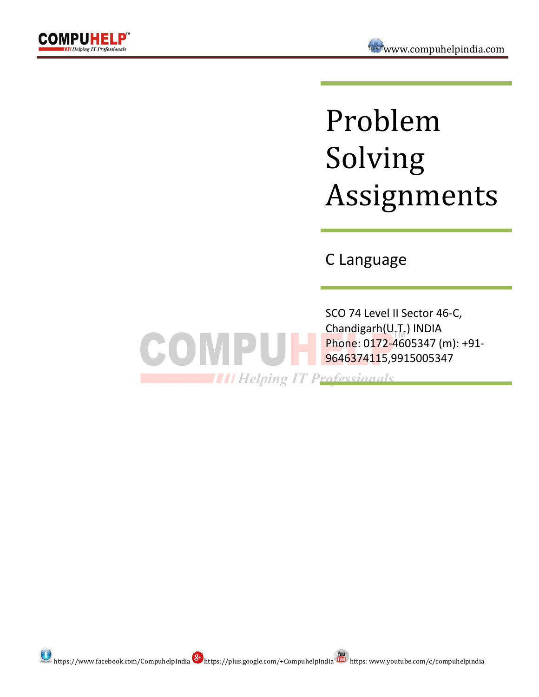

# Problem Solving Assignments

C Language

SCO 74 Level II Sector 46-C, Chandigarh(U.T.) INDIA Phone: 0172-4605347 (m): +91- 9646374115,9915005347

**THE Helping IT Professionals** 

COMPUT

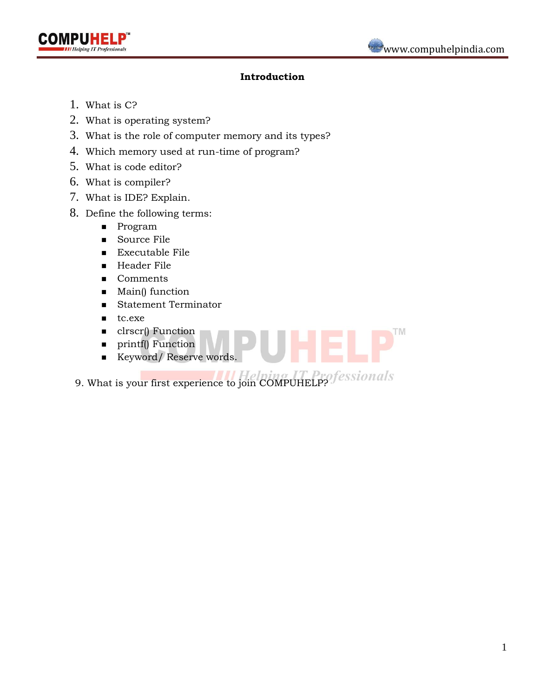



## **Introduction**

- 1. What is C?
- 2. What is operating system?
- 3. What is the role of computer memory and its types?
- 4. Which memory used at run-time of program?
- 5. What is code editor?
- 6. What is compiler?
- 7. What is IDE? Explain.
- 8. Define the following terms:
	- **Program**
	- Source File
	- **Executable File**
	- Header File
	- Comments
	- $$
	- **Statement Terminator**
	- $\blacksquare$  tc.exe
	- clrscr() Function
	- **printf**() Function
	- Keyword/Reserve words.
- 9. What is your first experience to join COMPUHELP? *fessionals*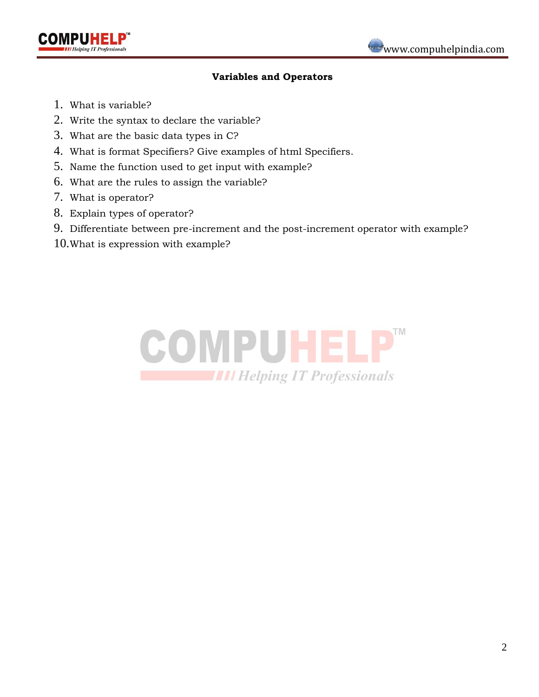



#### **Variables and Operators**

- 1. What is variable?
- 2. Write the syntax to declare the variable?
- 3. What are the basic data types in C?
- 4. What is format Specifiers? Give examples of html Specifiers.
- 5. Name the function used to get input with example?
- 6. What are the rules to assign the variable?
- 7. What is operator?
- 8. Explain types of operator?
- 9. Differentiate between pre-increment and the post-increment operator with example?
- 10.What is expression with example?

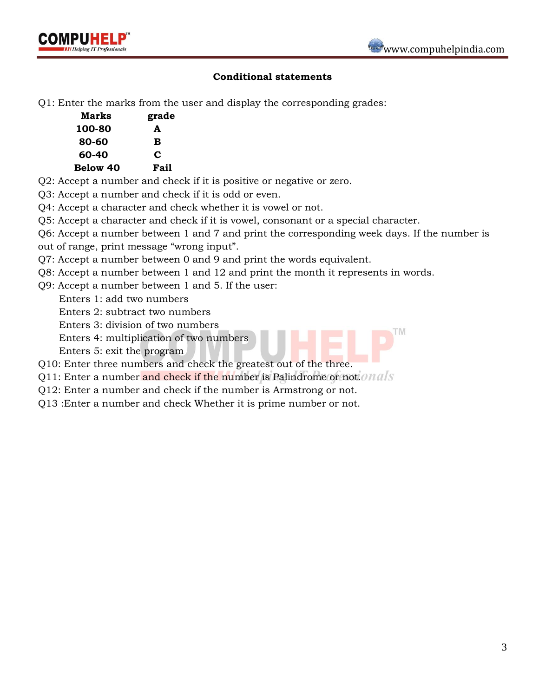



## **Conditional statements**

Q1: Enter the marks from the user and display the corresponding grades:

| Marks           | grade |
|-----------------|-------|
| 100-80          | A     |
| 80-60           | в     |
| 60-40           | C     |
| <b>Below 40</b> | Fail  |

- Q2: Accept a number and check if it is positive or negative or zero.
- Q3: Accept a number and check if it is odd or even.
- Q4: Accept a character and check whether it is vowel or not.
- Q5: Accept a character and check if it is vowel, consonant or a special character.
- Q6: Accept a number between 1 and 7 and print the corresponding week days. If the number is
- out of range, print message "wrong input".
- Q7: Accept a number between 0 and 9 and print the words equivalent.
- Q8: Accept a number between 1 and 12 and print the month it represents in words.
- Q9: Accept a number between 1 and 5. If the user:
	- Enters 1: add two numbers
	- Enters 2: subtract two numbers
	- Enters 3: division of two numbers
	- Enters 4: multiplication of two numbers
	- Enters 5: exit the program
- Q10: Enter three numbers and check the greatest out of the three.
- Q11: Enter a number and check if the number is Palindrome or not. Mals
- Q12: Enter a number and check if the number is Armstrong or not.
- Q13 :Enter a number and check Whether it is prime number or not.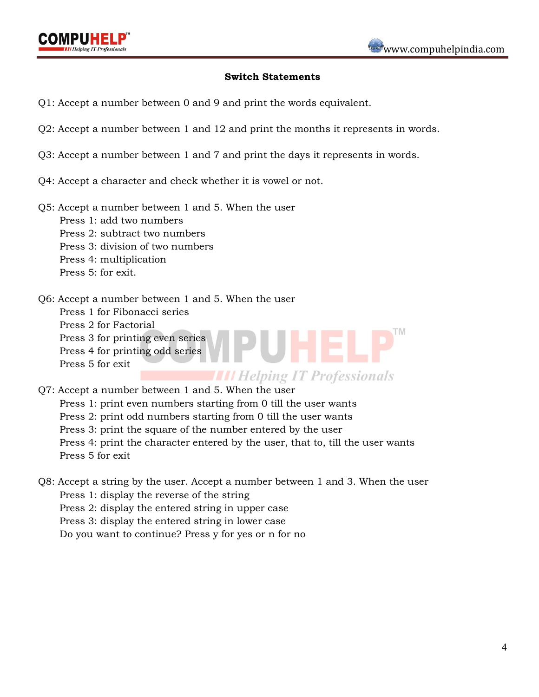#### **Switch Statements**

- Q1: Accept a number between 0 and 9 and print the words equivalent.
- Q2: Accept a number between 1 and 12 and print the months it represents in words.
- Q3: Accept a number between 1 and 7 and print the days it represents in words.
- Q4: Accept a character and check whether it is vowel or not.
- Q5: Accept a number between 1 and 5. When the user
	- Press 1: add two numbers
	- Press 2: subtract two numbers
	- Press 3: division of two numbers
	- Press 4: multiplication
	- Press 5: for exit.
- Q6: Accept a number between 1 and 5. When the user
	- Press 1 for Fibonacci series
	- Press 2 for Factorial
	- Press 3 for printing even series
	- Press 4 for printing odd series
	- Press 5 for exit

**THE Helping IT Professionals** 

UHEL

Q7: Accept a number between 1 and 5. When the user

 Press 1: print even numbers starting from 0 till the user wants Press 2: print odd numbers starting from 0 till the user wants Press 3: print the square of the number entered by the user Press 4: print the character entered by the user, that to, till the user wants Press 5 for exit

Q8: Accept a string by the user. Accept a number between 1 and 3. When the user Press 1: display the reverse of the string Press 2: display the entered string in upper case Press 3: display the entered string in lower case Do you want to continue? Press y for yes or n for no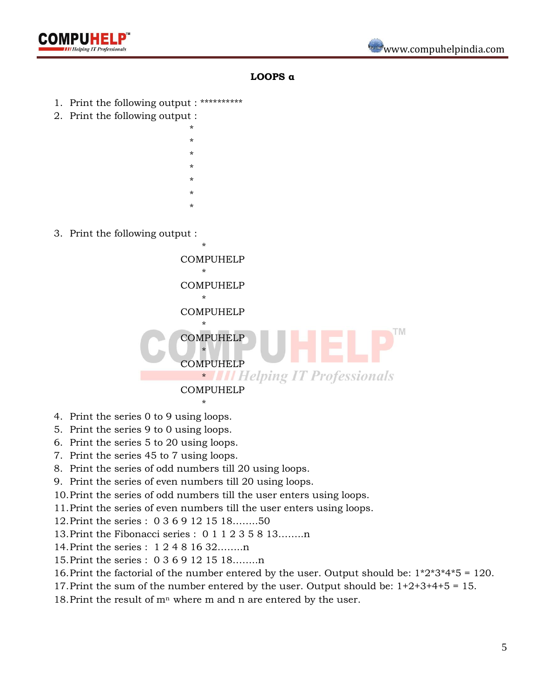

#### **LOOPS α**

- 1. Print the following output : \*\*\*\*\*\*\*\*\*\*
- 2. Print the following output :
	- \* \* \* \* \* \* \*
- 3. Print the following output :



- 4. Print the series 0 to 9 using loops.
- 5. Print the series 9 to 0 using loops.
- 6. Print the series 5 to 20 using loops.
- 7. Print the series 45 to 7 using loops.
- 8. Print the series of odd numbers till 20 using loops.
- 9. Print the series of even numbers till 20 using loops.
- 10.Print the series of odd numbers till the user enters using loops.
- 11.Print the series of even numbers till the user enters using loops.
- 12.Print the series : 0 3 6 9 12 15 18……..50
- 13.Print the Fibonacci series : 0 1 1 2 3 5 8 13……..n
- 14.Print the series : 1 2 4 8 16 32……..n
- 15.Print the series : 0 3 6 9 12 15 18……..n
- 16.Print the factorial of the number entered by the user. Output should be: 1\*2\*3\*4\*5 = 120.
- 17.Print the sum of the number entered by the user. Output should be: 1+2+3+4+5 = 15.
- 18. Print the result of  $m<sup>n</sup>$  where m and n are entered by the user.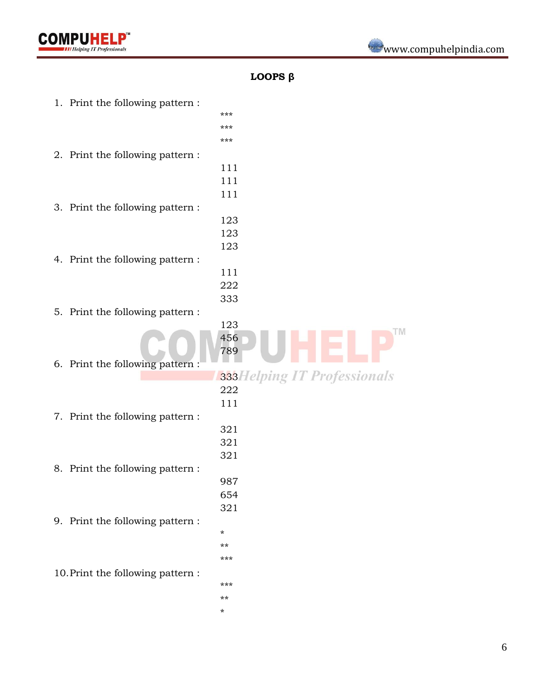

## **LOOPS β**

1. Print the following pattern : \*\*\* \*\*\* \*\*\* 2. Print the following pattern : 111 111 111 3. Print the following pattern : 123 123 123 4. Print the following pattern : 111 222 333 5. Print the following pattern : 123 **TM** 456 789 6. Print the following pattern : 333Helping IT Professionals 222 111 7. Print the following pattern : 321 321 321 8. Print the following pattern : 987 654 321 9. Print the following pattern : \* \*\* \*\*\* 10.Print the following pattern : \*\*\* \*\* \*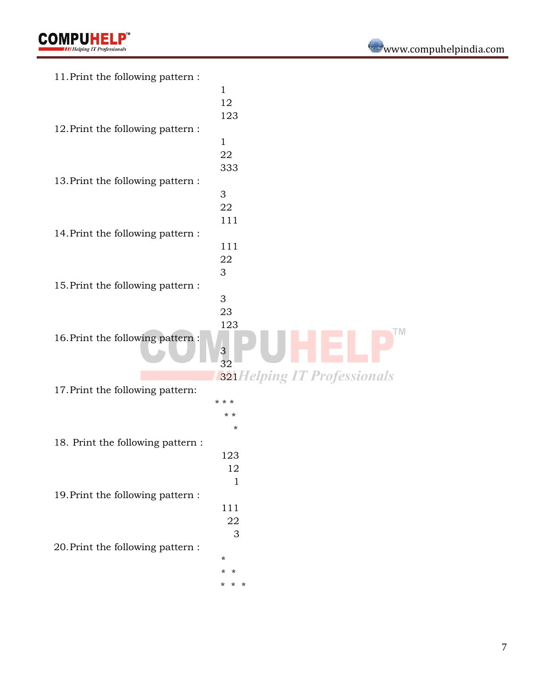| 11. Print the following pattern:  |                             |
|-----------------------------------|-----------------------------|
|                                   | $\mathbf{1}$                |
|                                   | 12                          |
|                                   | 123                         |
| 12. Print the following pattern:  |                             |
|                                   | $\mathbf{1}$                |
|                                   | 22                          |
|                                   | 333                         |
| 13. Print the following pattern:  |                             |
|                                   | 3                           |
|                                   | 22                          |
|                                   |                             |
|                                   | 111                         |
| 14. Print the following pattern:  |                             |
|                                   | 111                         |
|                                   | 22                          |
|                                   | 3                           |
| 15. Print the following pattern:  |                             |
|                                   | 3                           |
|                                   | 23                          |
|                                   | 123                         |
| 16. Print the following pattern:  |                             |
|                                   | $\frac{3}{32}$              |
|                                   |                             |
|                                   | 321Helping IT Professionals |
| 17. Print the following pattern:  |                             |
|                                   | * * *                       |
|                                   | * *                         |
|                                   | *                           |
| 18. Print the following pattern : |                             |
|                                   | 123                         |
|                                   | 12                          |
|                                   | $\mathbf{1}$                |
| 19. Print the following pattern:  |                             |
|                                   | 111                         |
|                                   | 22                          |
|                                   | 3                           |
|                                   |                             |
| 20. Print the following pattern:  | $^\star$                    |
|                                   | $\star$<br>$\star$          |
|                                   |                             |
|                                   | * *<br>*                    |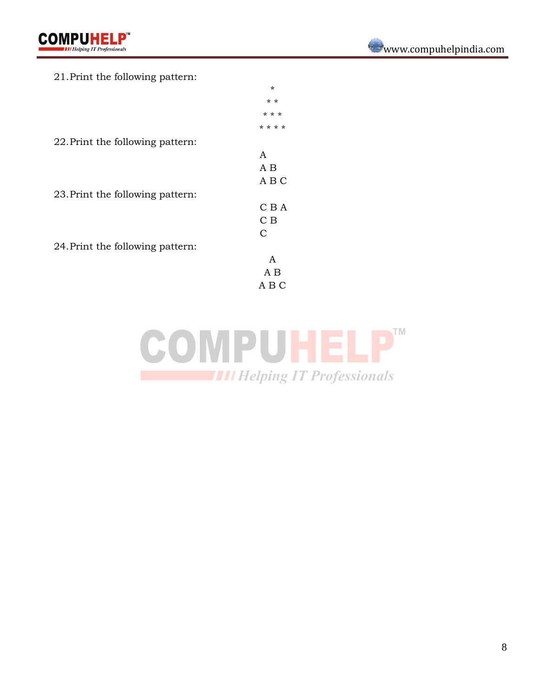|  |  | 21. Print the following pattern: |  |
|--|--|----------------------------------|--|
|--|--|----------------------------------|--|

|                                  | $\star$ |
|----------------------------------|---------|
|                                  | $* *$   |
|                                  | * * *   |
|                                  | * * * * |
| 22. Print the following pattern: |         |
|                                  | A       |
|                                  | A B     |
|                                  | A B C   |
| 23. Print the following pattern: |         |
|                                  | C B A   |
|                                  | C B     |
|                                  | C       |
| 24. Print the following pattern: |         |
|                                  | A       |
|                                  | A B     |
|                                  | A B C   |
|                                  |         |

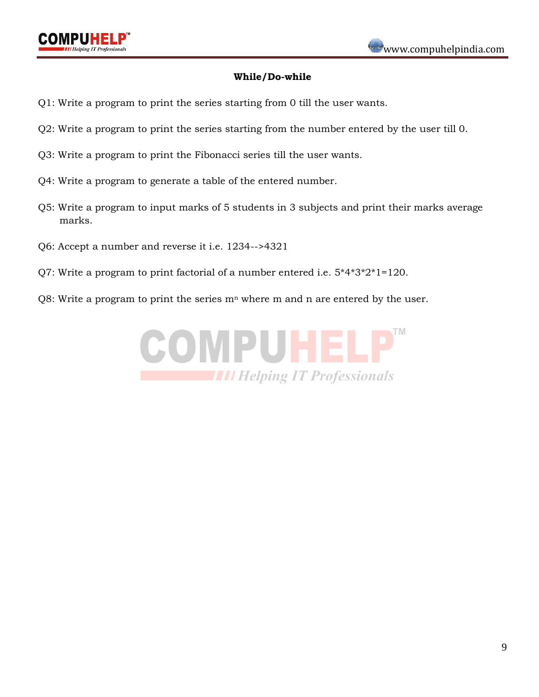

#### **While/Do-while**

- Q1: Write a program to print the series starting from 0 till the user wants.
- Q2: Write a program to print the series starting from the number entered by the user till 0.
- Q3: Write a program to print the Fibonacci series till the user wants.
- Q4: Write a program to generate a table of the entered number.
- Q5: Write a program to input marks of 5 students in 3 subjects and print their marks average marks.
- Q6: Accept a number and reverse it i.e. 1234-->4321
- Q7: Write a program to print factorial of a number entered i.e. 5\*4\*3\*2\*1=120.
- Q8: Write a program to print the series  $m<sup>n</sup>$  where m and n are entered by the user.

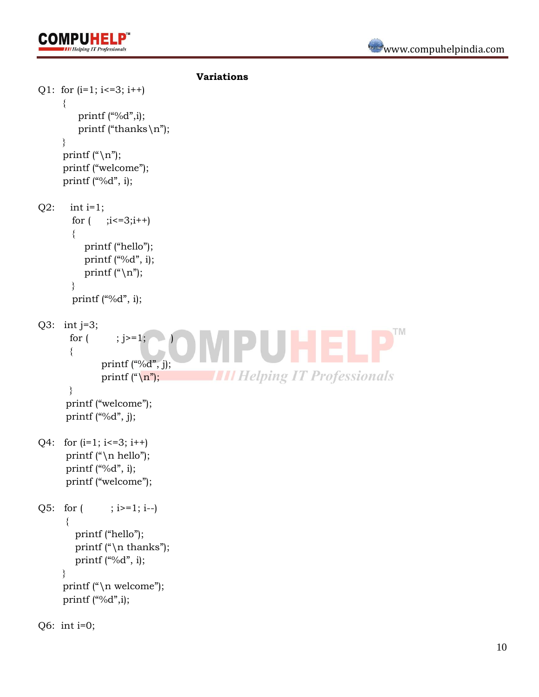

```
Variations
Q1: for (i=1; i<=3; i++)\{ printf ("%d",i);
          printf ("thanks\n");
      }
     printf ("\n");
      printf ("welcome");
     printf ("%d", i);
Q2: int i=1;
       for (i \leq 3; i++)\sim printf ("hello");
          printf ("%d", i);
          printf ("\n\langle n" \rangle;
        }
       printf ("%d", i);
Q3: int j=3;
                                                                                 TM
       for ( ; j>=1;HEL
       {
              printf ("%d", j);THE Helping IT Professionals
              printf ("\langle n");
       }
       printf ("welcome");
      printf ("%d", j);
Q4: for (i=1; i<=3; i++) printf ("\n hello");
      printf ("%d", i);
       printf ("welcome");
Q5: for (i \ge 1; i \ge -1) {
         printf ("hello");
        printf ("\n\times");
        printf ("%d", i);
      }
     printf ("\n\ranglen welcome");
     printf ("%d",i);
Q6: int i=0;
```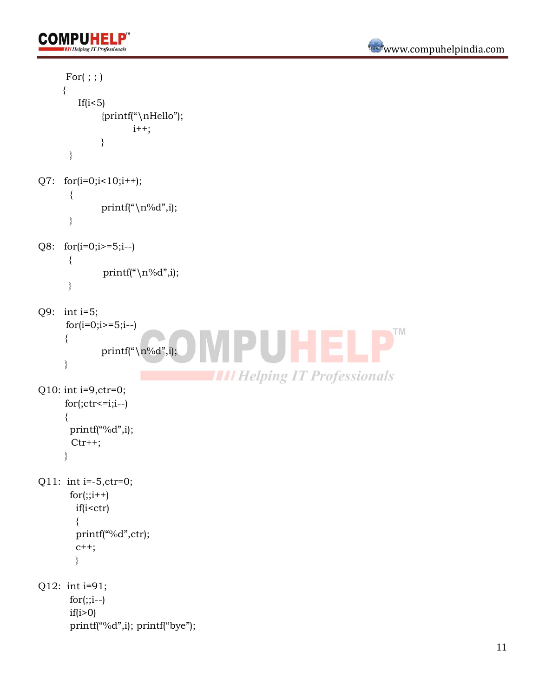```
For( ; ; ) {
          If(i<5)
               {printf("\nHello");
                       i^{++};
               }
       }
Q7: for(i=0; i<10; i++);
        {
               printf("\n\overline{p}",i);
       }
Q8: for(i=0;i>=5;i--)
        {
                printf("\n\langle n\%d",i;\right. }
Q9: int i=5;
       for(i=0; i>=5; i--)
                                                                                          TM
      {
               printf("\n\sqrt{n}\cdot d", i);
      }
                                           THE Helping IT Professionals
Q10: int i=9,ctr=0;
      for(<i>ctr</i><=i;i--){
       printf("%d",i);
        Ctr++;}
Q11: int i=-5,ctr=0;
       for(:,i++) if(i<ctr)
          {
          printf("%d",ctr);
          c++;
          }
Q12: int i=91;
       for(:,i--)if(i>0)printf("%d",i); printf("bye");
```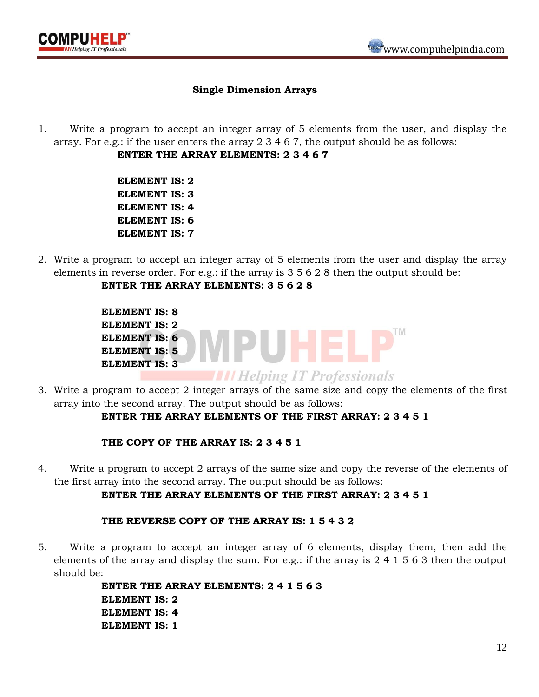

### **Single Dimension Arrays**

1. Write a program to accept an integer array of 5 elements from the user, and display the array. For e.g.: if the user enters the array 2 3 4 6 7, the output should be as follows:

**ENTER THE ARRAY ELEMENTS: 2 3 4 6 7**

**ELEMENT IS: 2 ELEMENT IS: 3 ELEMENT IS: 4 ELEMENT IS: 6 ELEMENT IS: 7**

2. Write a program to accept an integer array of 5 elements from the user and display the array elements in reverse order. For e.g.: if the array is 3 5 6 2 8 then the output should be:

## **ENTER THE ARRAY ELEMENTS: 3 5 6 2 8**

| <b>ELEMENT IS: 8</b> |                                     |
|----------------------|-------------------------------------|
| <b>ELEMENT IS: 2</b> |                                     |
| <b>ELEMENT IS: 6</b> |                                     |
| <b>ELEMENT IS: 5</b> |                                     |
| <b>ELEMENT IS: 3</b> |                                     |
|                      | <b>III Helping IT Professionals</b> |

3. Write a program to accept 2 integer arrays of the same size and copy the elements of the first array into the second array. The output should be as follows:

## **ENTER THE ARRAY ELEMENTS OF THE FIRST ARRAY: 2 3 4 5 1**

#### **THE COPY OF THE ARRAY IS: 2 3 4 5 1**

4. Write a program to accept 2 arrays of the same size and copy the reverse of the elements of the first array into the second array. The output should be as follows:

## **ENTER THE ARRAY ELEMENTS OF THE FIRST ARRAY: 2 3 4 5 1**

#### **THE REVERSE COPY OF THE ARRAY IS: 1 5 4 3 2**

5. Write a program to accept an integer array of 6 elements, display them, then add the elements of the array and display the sum. For e.g.: if the array is 2 4 1 5 6 3 then the output should be:

> **ENTER THE ARRAY ELEMENTS: 2 4 1 5 6 3 ELEMENT IS: 2 ELEMENT IS: 4 ELEMENT IS: 1**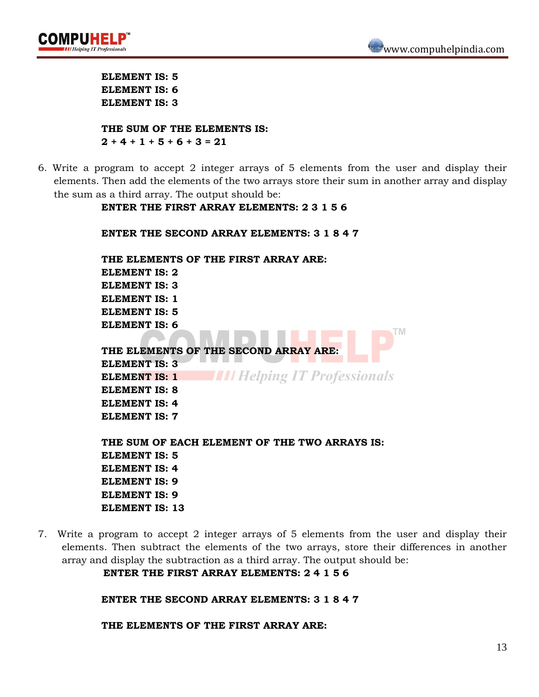



**ELEMENT IS: 5 ELEMENT IS: 6 ELEMENT IS: 3**

**THE SUM OF THE ELEMENTS IS:**  $2 + 4 + 1 + 5 + 6 + 3 = 21$ 

6. Write a program to accept 2 integer arrays of 5 elements from the user and display their elements. Then add the elements of the two arrays store their sum in another array and display the sum as a third array. The output should be:

**ENTER THE FIRST ARRAY ELEMENTS: 2 3 1 5 6**

**ENTER THE SECOND ARRAY ELEMENTS: 3 1 8 4 7 THE ELEMENTS OF THE FIRST ARRAY ARE: ELEMENT IS: 2 ELEMENT IS: 3 ELEMENT IS: 1 ELEMENT IS: 5 ELEMENT IS: 6 THE ELEMENTS OF THE SECOND ARRAY ARE: ELEMENT IS: 3 THE Helping IT Professionals ELEMENT IS: 1 ELEMENT IS: 8 ELEMENT IS: 4 ELEMENT IS: 7 THE SUM OF EACH ELEMENT OF THE TWO ARRAYS IS: ELEMENT IS: 5 ELEMENT IS: 4 ELEMENT IS: 9 ELEMENT IS: 9 ELEMENT IS: 13**

7. Write a program to accept 2 integer arrays of 5 elements from the user and display their elements. Then subtract the elements of the two arrays, store their differences in another array and display the subtraction as a third array. The output should be:

**ENTER THE FIRST ARRAY ELEMENTS: 2 4 1 5 6**

**ENTER THE SECOND ARRAY ELEMENTS: 3 1 8 4 7** 

**THE ELEMENTS OF THE FIRST ARRAY ARE:**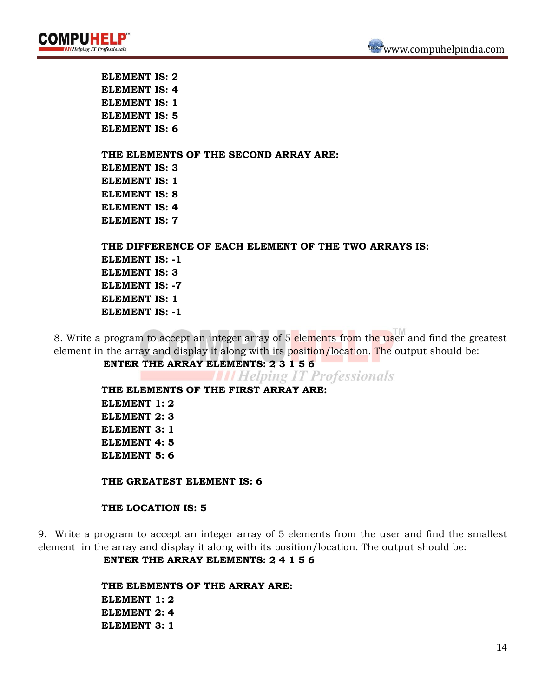



**ELEMENT IS: 2 ELEMENT IS: 4 ELEMENT IS: 1 ELEMENT IS: 5 ELEMENT IS: 6**

**THE ELEMENTS OF THE SECOND ARRAY ARE: ELEMENT IS: 3 ELEMENT IS: 1 ELEMENT IS: 8 ELEMENT IS: 4 ELEMENT IS: 7**

**THE DIFFERENCE OF EACH ELEMENT OF THE TWO ARRAYS IS: ELEMENT IS: -1 ELEMENT IS: 3 ELEMENT IS: -7 ELEMENT IS: 1 ELEMENT IS: -1**

8. Write a program to accept an integer array of 5 elements from the user and find the greatest element in the array and display it along with its position/location. The output should be:

**ENTER THE ARRAY ELEMENTS: 2 3 1 5 6**

**THE Helping IT Professionals** 

**THE ELEMENTS OF THE FIRST ARRAY ARE: ELEMENT 1: 2 ELEMENT 2: 3 ELEMENT 3: 1 ELEMENT 4: 5 ELEMENT 5: 6**

**THE GREATEST ELEMENT IS: 6**

#### **THE LOCATION IS: 5**

9. Write a program to accept an integer array of 5 elements from the user and find the smallest element in the array and display it along with its position/location. The output should be:

**ENTER THE ARRAY ELEMENTS: 2 4 1 5 6**

**THE ELEMENTS OF THE ARRAY ARE: ELEMENT 1: 2 ELEMENT 2: 4 ELEMENT 3: 1**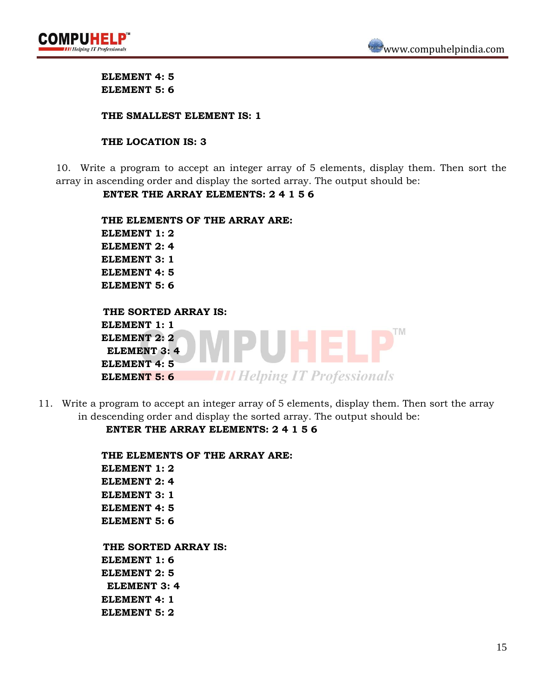



**ELEMENT 4: 5 ELEMENT 5: 6**

#### **THE SMALLEST ELEMENT IS: 1**

#### **THE LOCATION IS: 3**

10. Write a program to accept an integer array of 5 elements, display them. Then sort the array in ascending order and display the sorted array. The output should be:

#### **ENTER THE ARRAY ELEMENTS: 2 4 1 5 6**

| THE ELEMENTS OF THE ARRAY ARE: |                         |
|--------------------------------|-------------------------|
| <b>ELEMENT 1: 2</b>            |                         |
| <b>ELEMENT 2: 4</b>            |                         |
| <b>ELEMENT 3: 1</b>            |                         |
| ELEMENT 4: 5                   |                         |
| ELEMENT 5: 6                   |                         |
|                                |                         |
| THE SORTED ARRAY IS:           |                         |
| <b>ELEMENT 1: 1</b>            |                         |
| <b>ELEMENT 2: 2</b>            |                         |
| <b>ELEMENT 3: 4</b>            |                         |
| <b>ELEMENT 4:5</b>             |                         |
| <b>ELEMENT 5: 6</b>            | elping IT Professionals |

11. Write a program to accept an integer array of 5 elements, display them. Then sort the array in descending order and display the sorted array. The output should be:

#### **ENTER THE ARRAY ELEMENTS: 2 4 1 5 6**

**THE ELEMENTS OF THE ARRAY ARE: ELEMENT 1: 2 ELEMENT 2: 4 ELEMENT 3: 1 ELEMENT 4: 5 ELEMENT 5: 6 THE SORTED ARRAY IS: ELEMENT 1: 6 ELEMENT 2: 5 ELEMENT 3: 4 ELEMENT 4: 1 ELEMENT 5: 2**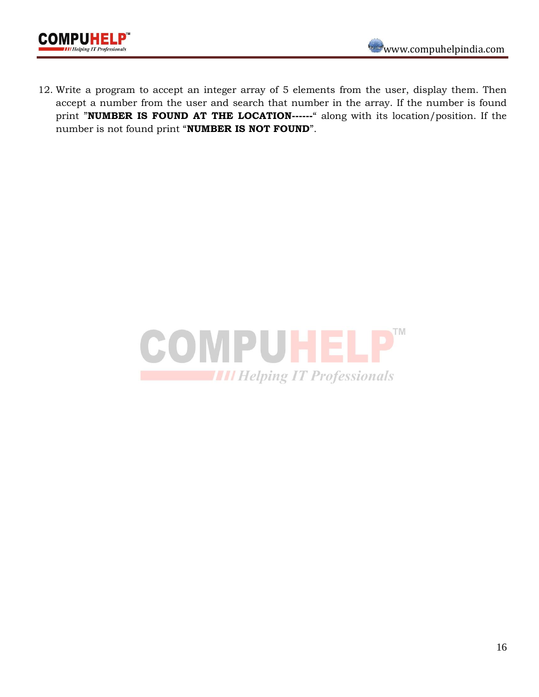

12. Write a program to accept an integer array of 5 elements from the user, display them. Then accept a number from the user and search that number in the array. If the number is found print "**NUMBER IS FOUND AT THE LOCATION------**" along with its location/position. If the number is not found print "**NUMBER IS NOT FOUND**".

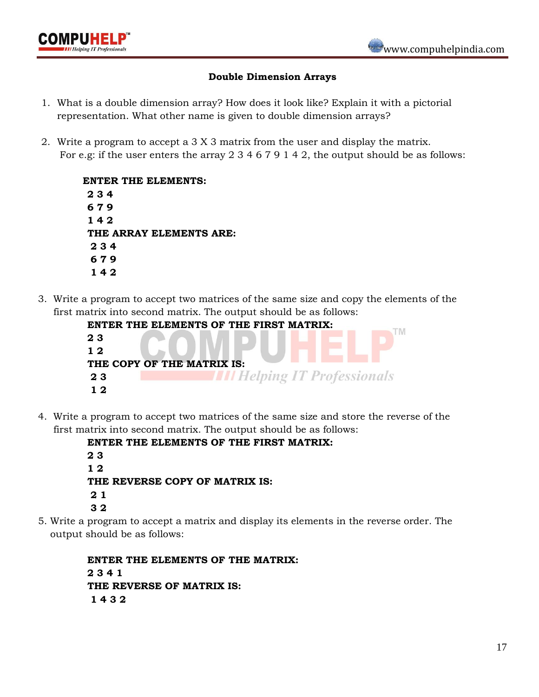

#### **Double Dimension Arrays**

- 1. What is a double dimension array? How does it look like? Explain it with a pictorial representation. What other name is given to double dimension arrays?
- 2. Write a program to accept a 3 X 3 matrix from the user and display the matrix. For e.g: if the user enters the array 2 3 4 6 7 9 1 4 2, the output should be as follows:

 **ENTER THE ELEMENTS: 2 3 4 6 7 9 1 4 2 THE ARRAY ELEMENTS ARE: 2 3 4 6 7 9 1 4 2** 

3. Write a program to accept two matrices of the same size and copy the elements of the first matrix into second matrix. The output should be as follows:

|     | ENTER THE ELEMENTS OF THE FIRST MATRIX: |
|-----|-----------------------------------------|
| 23  |                                         |
| 12  |                                         |
|     | THE COPY OF THE MATRIX IS:              |
| 23  | <b>Helping IT Professionals</b>         |
| 1 າ |                                         |

4. Write a program to accept two matrices of the same size and store the reverse of the first matrix into second matrix. The output should be as follows:

> **ENTER THE ELEMENTS OF THE FIRST MATRIX: 2 3 1 2 THE REVERSE COPY OF MATRIX IS: 2 1 3 2**

5. Write a program to accept a matrix and display its elements in the reverse order. The output should be as follows:

> **ENTER THE ELEMENTS OF THE MATRIX: 2 3 4 1 THE REVERSE OF MATRIX IS: 1 4 3 2**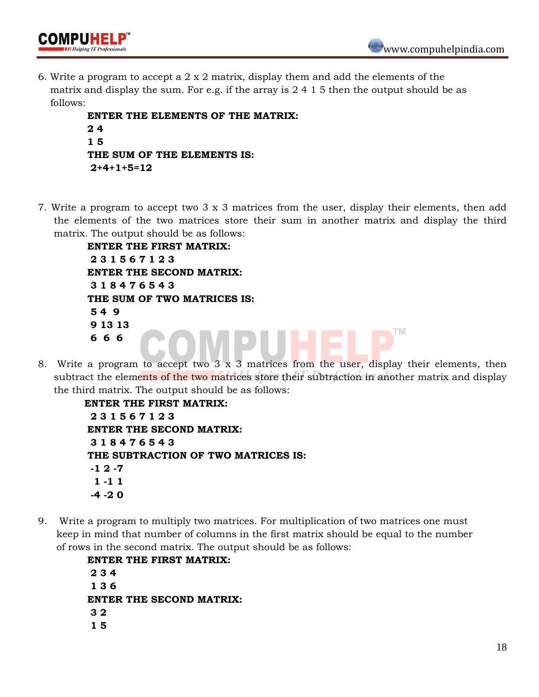TM



6. Write a program to accept a 2 x 2 matrix, display them and add the elements of the matrix and display the sum. For e.g. if the array is 2 4 1 5 then the output should be as follows:

```
 ENTER THE ELEMENTS OF THE MATRIX: 
2.4 1 5 
 THE SUM OF THE ELEMENTS IS: 
 2+4+1+5=12
```
7. Write a program to accept two 3 x 3 matrices from the user, display their elements, then add the elements of the two matrices store their sum in another matrix and display the third matrix. The output should be as follows:

> **ENTER THE FIRST MATRIX: 2 3 1 5 6 7 1 2 3 ENTER THE SECOND MATRIX: 3 1 8 4 7 6 5 4 3 THE SUM OF TWO MATRICES IS: 5 4 9 9 13 13 6 6 6**

8. Write a program to accept two 3 x 3 matrices from the user, display their elements, then subtract the elements of the two matrices store their subtraction in another matrix and display the third matrix. The output should be as follows:

```
 ENTER THE FIRST MATRIX: 
  2 3 1 5 6 7 1 2 3 
 ENTER THE SECOND MATRIX: 
  3 1 8 4 7 6 5 4 3
 THE SUBTRACTION OF TWO MATRICES IS:
  -1 2 -7
  1 -1 1
  -4 -2 0
```
9. Write a program to multiply two matrices. For multiplication of two matrices one must keep in mind that number of columns in the first matrix should be equal to the number of rows in the second matrix. The output should be as follows:

> **ENTER THE FIRST MATRIX: 2 3 4 1 3 6 ENTER THE SECOND MATRIX: 3 2 1 5**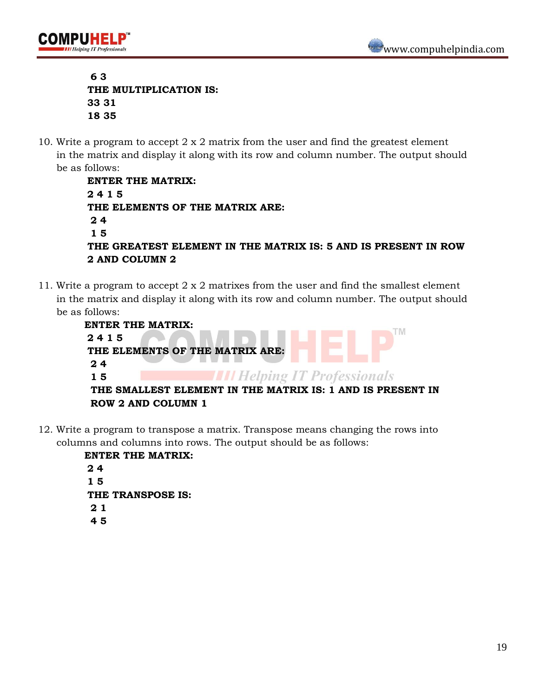IPUHEL

 **6 3 THE MULTIPLICATION IS: 33 31 18 35**

10. Write a program to accept  $2 \times 2$  matrix from the user and find the greatest element in the matrix and display it along with its row and column number. The output should be as follows:

```
 ENTER THE MATRIX: 
 2 4 1 5 
 THE ELEMENTS OF THE MATRIX ARE: 
 2 4
 1 5
 THE GREATEST ELEMENT IN THE MATRIX IS: 5 AND IS PRESENT IN ROW 
 2 AND COLUMN 2
```
11. Write a program to accept 2 x 2 matrixes from the user and find the smallest element in the matrix and display it along with its row and column number. The output should be as follows:

| <b>ENTER THE MATRIX:</b> |                                                            |
|--------------------------|------------------------------------------------------------|
| 2415                     |                                                            |
|                          | THE ELEMENTS OF THE MATRIX ARE:                            |
| 24                       |                                                            |
| 15                       | <b>III Helping IT Professionals</b>                        |
|                          | THE SMALLEST ELEMENT IN THE MATRIX IS: 1 AND IS PRESENT IN |
|                          | <b>ROW 2 AND COLUMN 1</b>                                  |

12. Write a program to transpose a matrix. Transpose means changing the rows into columns and columns into rows. The output should be as follows:

> **ENTER THE MATRIX: 2 4 1 5 THE TRANSPOSE IS: 2 1 4 5**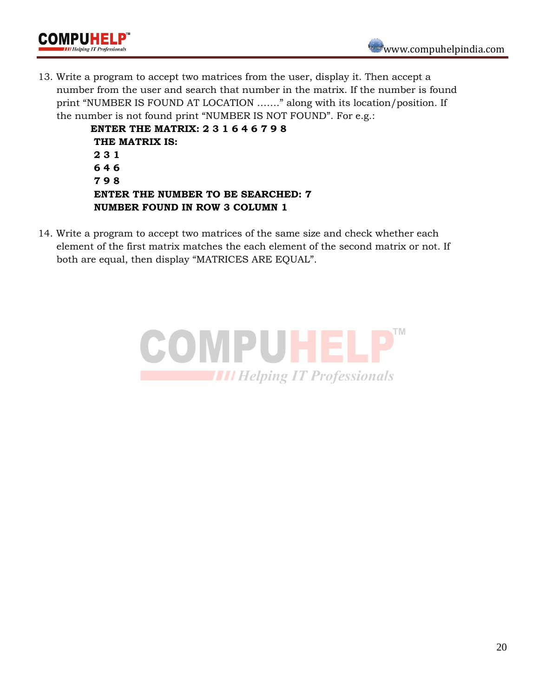

13. Write a program to accept two matrices from the user, display it. Then accept a number from the user and search that number in the matrix. If the number is found print "NUMBER IS FOUND AT LOCATION ……." along with its location/position. If the number is not found print "NUMBER IS NOT FOUND". For e.g.:

> **ENTER THE MATRIX: 2 3 1 6 4 6 7 9 8 THE MATRIX IS: 2 3 1 6 4 6 7 9 8 ENTER THE NUMBER TO BE SEARCHED: 7 NUMBER FOUND IN ROW 3 COLUMN 1**

**OMPUHEL** 

14. Write a program to accept two matrices of the same size and check whether each element of the first matrix matches the each element of the second matrix or not. If both are equal, then display "MATRICES ARE EQUAL".

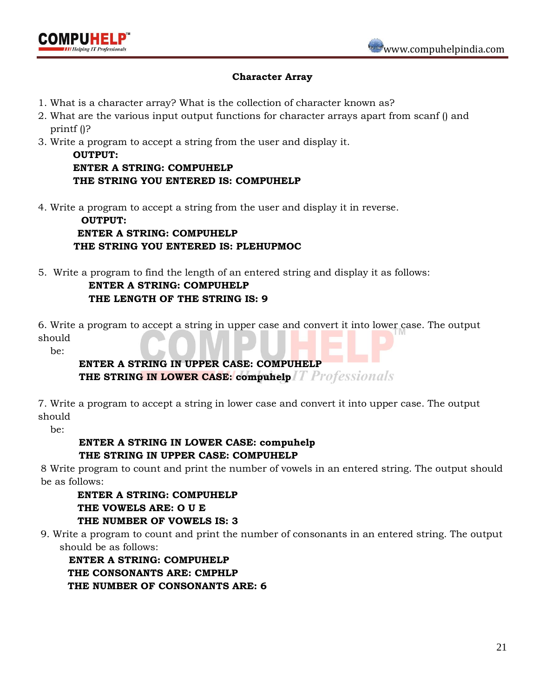

## **Character Array**

- 1. What is a character array? What is the collection of character known as?
- 2. What are the various input output functions for character arrays apart from scanf () and printf ()?
- 3. Write a program to accept a string from the user and display it.

**OUTPUT: ENTER A STRING: COMPUHELP THE STRING YOU ENTERED IS: COMPUHELP**

4. Write a program to accept a string from the user and display it in reverse.

 **OUTPUT: ENTER A STRING: COMPUHELP THE STRING YOU ENTERED IS: PLEHUPMOC**

5. Write a program to find the length of an entered string and display it as follows:

# **ENTER A STRING: COMPUHELP THE LENGTH OF THE STRING IS: 9**

6. Write a program to accept a string in upper case and convert it into lower case. The output should

be:

# **ENTER A STRING IN UPPER CASE: COMPUHELP THE STRING IN LOWER CASE: compuhelp** *T Professionals*

7. Write a program to accept a string in lower case and convert it into upper case. The output should

be:

# **ENTER A STRING IN LOWER CASE: compuhelp THE STRING IN UPPER CASE: COMPUHELP**

8 Write program to count and print the number of vowels in an entered string. The output should be as follows:

 **ENTER A STRING: COMPUHELP THE VOWELS ARE: O U E THE NUMBER OF VOWELS IS: 3**

9. Write a program to count and print the number of consonants in an entered string. The output should be as follows:

 **ENTER A STRING: COMPUHELP THE CONSONANTS ARE: CMPHLP THE NUMBER OF CONSONANTS ARE: 6**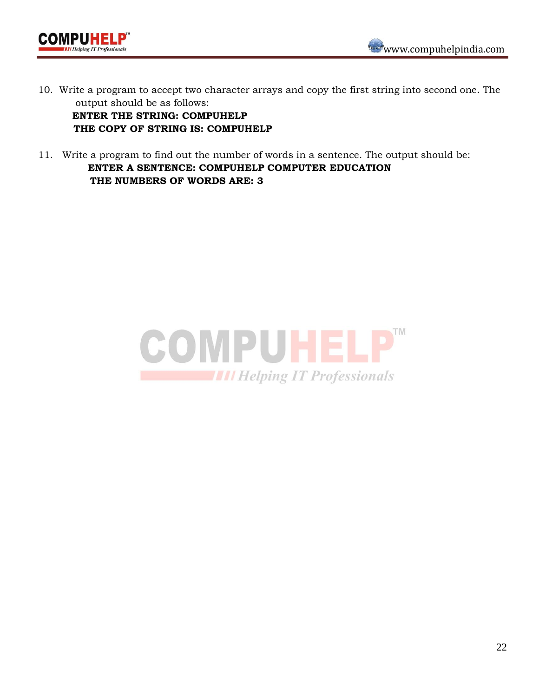



10. Write a program to accept two character arrays and copy the first string into second one. The output should be as follows:

 **ENTER THE STRING: COMPUHELP THE COPY OF STRING IS: COMPUHELP**

11. Write a program to find out the number of words in a sentence. The output should be: **ENTER A SENTENCE: COMPUHELP COMPUTER EDUCATION THE NUMBERS OF WORDS ARE: 3**

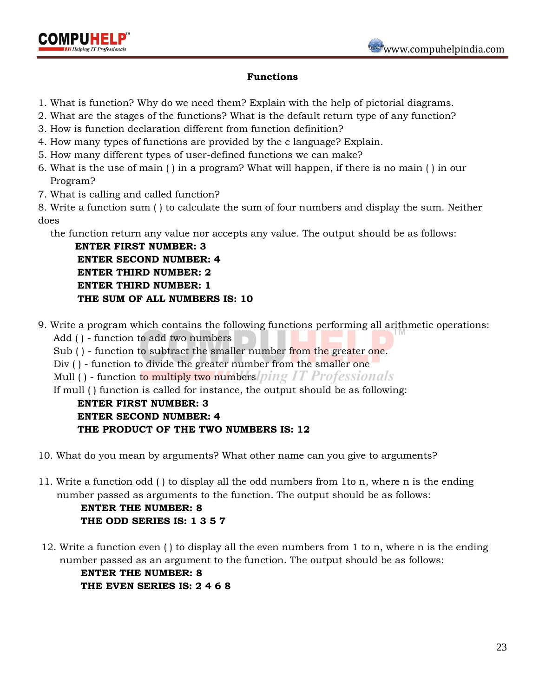



## **Functions**

- 1. What is function? Why do we need them? Explain with the help of pictorial diagrams.
- 2. What are the stages of the functions? What is the default return type of any function?
- 3. How is function declaration different from function definition?
- 4. How many types of functions are provided by the c language? Explain.
- 5. How many different types of user-defined functions we can make?
- 6. What is the use of main ( ) in a program? What will happen, if there is no main ( ) in our Program?
- 7. What is calling and called function?

8. Write a function sum ( ) to calculate the sum of four numbers and display the sum. Neither does

the function return any value nor accepts any value. The output should be as follows:

 **ENTER FIRST NUMBER: 3 ENTER SECOND NUMBER: 4 ENTER THIRD NUMBER: 2 ENTER THIRD NUMBER: 1 THE SUM OF ALL NUMBERS IS: 10**

- 9. Write a program which contains the following functions performing all arithmetic operations:
	- Add ( ) function to add two numbers
	- Sub () function to subtract the smaller number from the greater one.
	- Div () function to divide the greater number from the smaller one

Mull () - function to multiply two numbers ping IT Professionals

If mull ( ) function is called for instance, the output should be as following:

# **ENTER FIRST NUMBER: 3 ENTER SECOND NUMBER: 4 THE PRODUCT OF THE TWO NUMBERS IS: 12**

- 10. What do you mean by arguments? What other name can you give to arguments?
- 11. Write a function odd ( ) to display all the odd numbers from 1to n, where n is the ending number passed as arguments to the function. The output should be as follows:

 **ENTER THE NUMBER: 8 THE ODD SERIES IS: 1 3 5 7**

12. Write a function even ( ) to display all the even numbers from 1 to n, where n is the ending number passed as an argument to the function. The output should be as follows:

 **ENTER THE NUMBER: 8 THE EVEN SERIES IS: 2 4 6 8**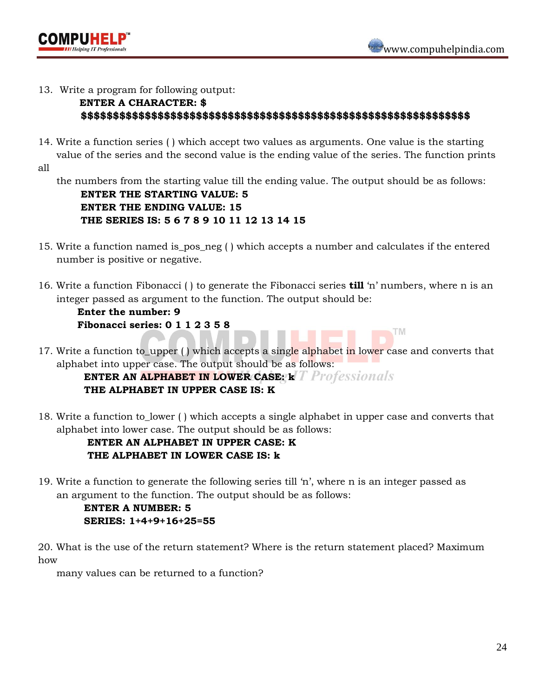

TM



## 13.Write a program for following output:

# **ENTER A CHARACTER: \$ \$\$\$\$\$\$\$\$\$\$\$\$\$\$\$\$\$\$\$\$\$\$\$\$\$\$\$\$\$\$\$\$\$\$\$\$\$\$\$\$\$\$\$\$\$\$\$\$\$\$\$\$\$\$\$\$\$\$\$\$\$**

14. Write a function series ( ) which accept two values as arguments. One value is the starting value of the series and the second value is the ending value of the series. The function prints

all

 the numbers from the starting value till the ending value. The output should be as follows:  **ENTER THE STARTING VALUE: 5**

 **ENTER THE ENDING VALUE: 15 THE SERIES IS: 5 6 7 8 9 10 11 12 13 14 15**

- 15. Write a function named is\_pos\_neg ( ) which accepts a number and calculates if the entered number is positive or negative.
- 16. Write a function Fibonacci ( ) to generate the Fibonacci series **till** "n" numbers, where n is an integer passed as argument to the function. The output should be:

 **Enter the number: 9 Fibonacci series: 0 1 1 2 3 5 8** 

17. Write a function to upper () which accepts a single alphabet in lower case and converts that alphabet into upper case. The output should be as follows:

**ENTER AN ALPHABET IN LOWER CASE: k** *Frofessionals*  **THE ALPHABET IN UPPER CASE IS: K**

18. Write a function to\_lower ( ) which accepts a single alphabet in upper case and converts that alphabet into lower case. The output should be as follows:

# **ENTER AN ALPHABET IN UPPER CASE: K THE ALPHABET IN LOWER CASE IS: k**

19. Write a function to generate the following series till "n", where n is an integer passed as an argument to the function. The output should be as follows:

## **ENTER A NUMBER: 5 SERIES: 1+4+9+16+25=55**

20. What is the use of the return statement? Where is the return statement placed? Maximum how

many values can be returned to a function?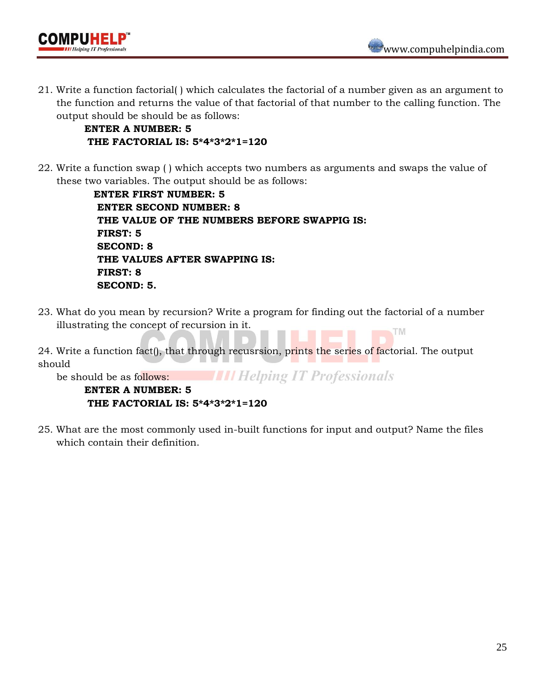

21. Write a function factorial( ) which calculates the factorial of a number given as an argument to the function and returns the value of that factorial of that number to the calling function. The output should be should be as follows:

 **ENTER A NUMBER: 5 THE FACTORIAL IS: 5\*4\*3\*2\*1=120**

22. Write a function swap ( ) which accepts two numbers as arguments and swaps the value of these two variables. The output should be as follows:

> **ENTER FIRST NUMBER: 5 ENTER SECOND NUMBER: 8 THE VALUE OF THE NUMBERS BEFORE SWAPPIG IS: FIRST: 5 SECOND: 8 THE VALUES AFTER SWAPPING IS: FIRST: 8 SECOND: 5.**

- 23. What do you mean by recursion? Write a program for finding out the factorial of a number illustrating the concept of recursion in it. **TM**
- 24. Write a function fact(), that through recusrsion, prints the series of factorial. The output should

**THE Helping IT Professionals** be should be as follows:

 **ENTER A NUMBER: 5 THE FACTORIAL IS: 5\*4\*3\*2\*1=120**

25. What are the most commonly used in-built functions for input and output? Name the files which contain their definition.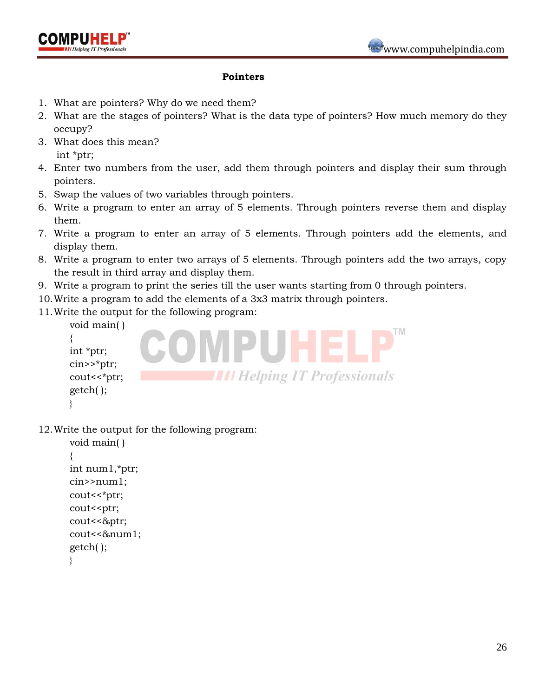



- 1. What are pointers? Why do we need them?
- 2. What are the stages of pointers? What is the data type of pointers? How much memory do they occupy?
- 3. What does this mean?

int \*ptr;

- 4. Enter two numbers from the user, add them through pointers and display their sum through pointers.
- 5. Swap the values of two variables through pointers.
- 6. Write a program to enter an array of 5 elements. Through pointers reverse them and display them.
- 7. Write a program to enter an array of 5 elements. Through pointers add the elements, and display them.
- 8. Write a program to enter two arrays of 5 elements. Through pointers add the two arrays, copy the result in third array and display them.
- 9. Write a program to print the series till the user wants starting from 0 through pointers.
- 10.Write a program to add the elements of a 3x3 matrix through pointers.
- 11.Write the output for the following program:

```
void main( )
{
int *ptr;
cin>>*ptr;
                            IIII Helping IT Professionals
cout<<*ptr;
getch( );
}
```
12.Write the output for the following program:

```
void main( )
{
int num1,*ptr;
cin>>num1;
cout<<*ptr;
cout<<ptr;
cout<<&ptr;
cout<<&num1;
getch( );
}
```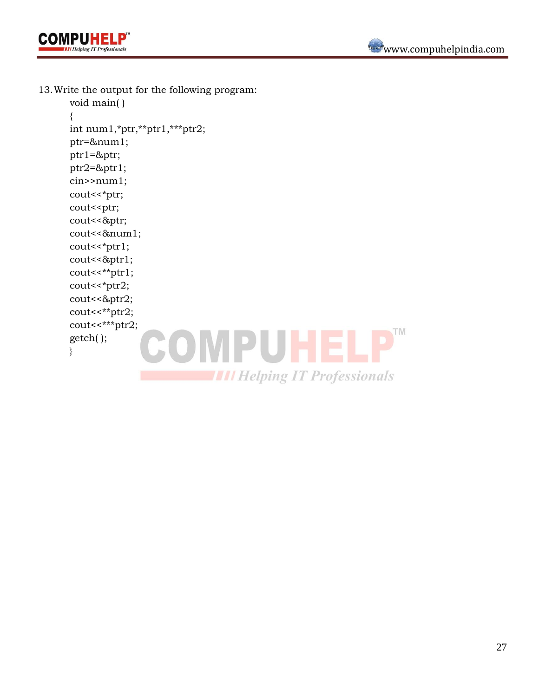



13.Write the output for the following program:

```
void main( )
{
int num1,*ptr,**ptr1,***ptr2;
ptr=&num1;
ptr1=&ptr;
ptr2=&ptr1;
cin>>num1;
cout<<*ptr;
cout<<ptr;
cout<<&ptr;
cout<<&num1;
cout<<*ptr1;
cout<<&ptr1;
cout<<**ptr1;
cout<<*ptr2;
cout<<&ptr2;
cout<<**ptr2;
cout<<***ptr2;
             COMPUHELP™
getch( );
}THE Helping IT Professionals
```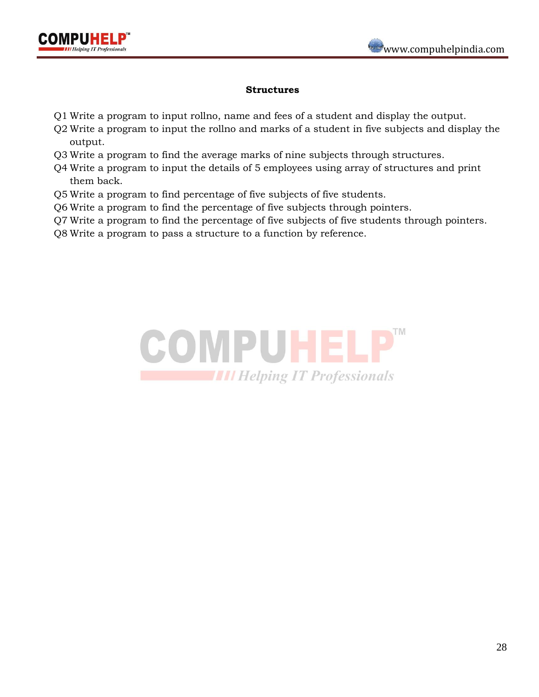

#### **Structures**

- Q1 Write a program to input rollno, name and fees of a student and display the output.
- Q2 Write a program to input the rollno and marks of a student in five subjects and display the output.
- Q3 Write a program to find the average marks of nine subjects through structures.
- Q4 Write a program to input the details of 5 employees using array of structures and print them back.
- Q5 Write a program to find percentage of five subjects of five students.
- Q6 Write a program to find the percentage of five subjects through pointers.
- Q7 Write a program to find the percentage of five subjects of five students through pointers.
- Q8 Write a program to pass a structure to a function by reference.